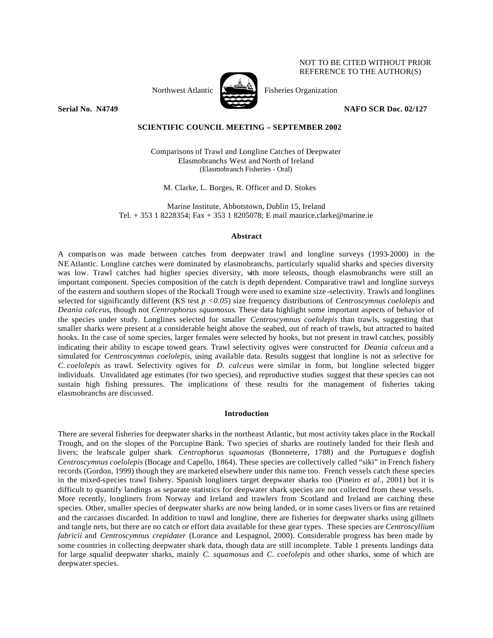## NOT TO BE CITED WITHOUT PRIOR REFERENCE TO THE AUTHOR(S)

Northwest Atlantic  $\sum_{n=1}^{\infty}$  Fisheries Organization



**Serial No. N4749 NAFO SCR Doc. 02/127**

## **SCIENTIFIC COUNCIL MEETING – SEPTEMBER 2002**

Comparisons of Trawl and Longline Catches of Deepwater Elasmobranchs West and North of Ireland (Elasmobranch Fisheries - Oral)

M. Clarke, L. Borges, R. Officer and D. Stokes

Marine Institute, Abbotstown, Dublin 15, Ireland Tel. + 353 1 8228354; Fax + 353 1 8205078; E mail maurice.clarke@marine.ie

### **Abstract**

A comparis on was made between catches from deepwater trawl and longline surveys (1993-2000) in the NEAtlantic. Longline catches were dominated by elasmobranchs, particularly squalid sharks and species diversity was low. Trawl catches had higher species diversity, with more teleosts, though elasmobranchs were still an important component. Species composition of the catch is depth dependent. Comparative trawl and longline surveys of the eastern and southern slopes of the Rockall Trough were used to examine size -selectivity. Trawls and longlines selected for significantly different (KS test *p <0.05*) size frequency distributions of *Centroscymnus coelolepis* and *Deania calceus*, though not *Centrophorus squamosus*. These data highlight some important aspects of behavior of the species under study. Longlines selected for smaller *Centroscymnus coelolepis* than trawls, suggesting that smaller sharks were present at a considerable height above the seabed, out of reach of trawls, but attracted to baited hooks. In the case of some species, larger females were selected by hooks, but not present in trawl catches, possibly indicating their ability to escape towed gears. Trawl selectivity ogives were constructed for *Deania calceus* and a simulated for *Centroscymnus coelolepis*, using available data. Results suggest that longline is not as selective for *C. coelolepis* as trawl. Selectivity ogives for *D. calceus* were similar in form, but longline selected bigger individuals. Unvalidated age estimates (for two species), and reproductive studies suggest that these species can not sustain high fishing pressures. The implications of these results for the management of fisheries taking elasmobranchs are discussed.

## **Introduction**

There are several fisheries for deepwater sharks in the northeast Atlantic, but most activity takes place in the Rockall Trough, and on the slopes of the Porcupine Bank. Two species of sharks are routinely landed for their flesh and livers; the leafscale gulper shark *Centrophorus squamosus* (Bonneterre, 1788) and the Portugues e dogfish *Centroscymnus coelolepis* (Bocage and Capello, 1864). These species are collectively called "siki" in French fishery records (Gordon, 1999) though they are marketed elsewhere under this name too. French vessels catch these species in the mixed-species trawl fishery. Spanish longliners target deepwater sharks too (Pineiro *et al*., 2001) but it is difficult to quantify landings as separate statistics for deepwater shark species are not collected from these vessels. More recently, longliners from Norway and Ireland and trawlers from Scotland and Ireland are catching these species. Other, smaller species of deepwater sharks are now being landed, or in some cases livers or fins are retained and the carcasses discarded. In addition to trawl and longline, there are fisheries for deepwater sharks using gillnets and tangle nets, but there are no catch or effort data available for these gear types. These species are *Centroscyllium fabricii* and *Centroscymnus crepidater* (Lorance and Lespagnol, 2000). Considerable progress has been made by some countries in collecting deepwater shark data, though data are still incomplete. Table 1 presents landings data for large squalid deepwater sharks, mainly *C. squamosus* and *C. coelolepis* and other sharks, some of which are deepwater species.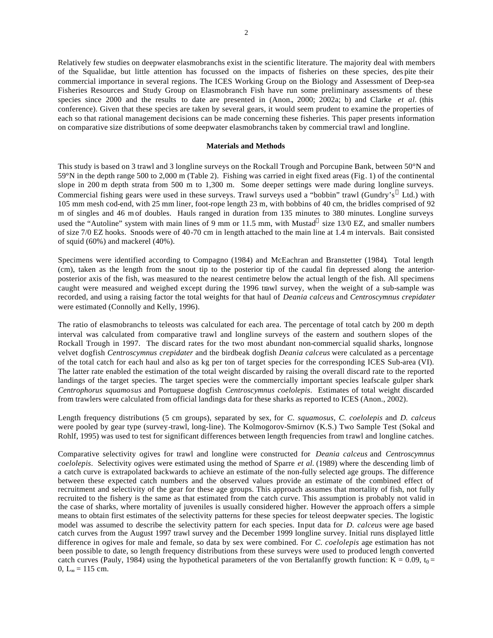Relatively few studies on deepwater elasmobranchs exist in the scientific literature. The majority deal with members of the Squalidae, but little attention has focussed on the impacts of fisheries on these species, des pite their commercial importance in several regions. The ICES Working Group on the Biology and Assessment of Deep-sea Fisheries Resources and Study Group on Elasmobranch Fish have run some preliminary assessments of these species since 2000 and the results to date are presented in (Anon., 2000; 2002a; b) and Clarke *et al.* (this conference). Given that these species are taken by several gears, it would seem prudent to examine the properties of each so that rational management decisions can be made concerning these fisheries. This paper presents information on comparative size distributions of some deepwater elasmobranchs taken by commercial trawl and longline.

#### **Materials and Methods**

This study is based on 3 trawl and 3 longline surveys on the Rockall Trough and Porcupine Bank, between 50°N and 59°N in the depth range 500 to 2,000 m (Table 2). Fishing was carried in eight fixed areas (Fig. 1) of the continental slope in 200 m depth strata from 500 m to 1,300 m. Some deeper settings were made during longline surveys. Commercial fishing gears were used in these surveys. Trawl surveys used a "bobbin" trawl (Gundry's ® Ltd.) with 105 mm mesh cod-end, with 25 mm liner, foot-rope length 23 m, with bobbins of 40 cm, the bridles comprised of 92 m of singles and 46 m of doubles. Hauls ranged in duration from 135 minutes to 380 minutes. Longline surveys used the "Autoline" system with main lines of 9 mm or 11.5 mm, with Mustad $^{\circ}$  size 13/0 EZ, and smaller numbers of size 7/0 EZ hooks. Snoods were of 40-70 cm in length attached to the main line at 1.4 m intervals. Bait consisted of squid (60%) and mackerel (40%).

Specimens were identified according to Compagno (1984) and McEachran and Branstetter (1984). Total length (cm), taken as the length from the snout tip to the posterior tip of the caudal fin depressed along the anteriorposterior axis of the fish, was measured to the nearest centimetre below the actual length of the fish. All specimens caught were measured and weighed except during the 1996 trawl survey, when the weight of a sub-sample was recorded, and using a raising factor the total weights for that haul of *Deania calceus* and *Centroscymnus crepidater* were estimated (Connolly and Kelly, 1996).

The ratio of elasmobranchs to teleosts was calculated for each area. The percentage of total catch by 200 m depth interval was calculated from comparative trawl and longline surveys of the eastern and southern slopes of the Rockall Trough in 1997. The discard rates for the two most abundant non-commercial squalid sharks, longnose velvet dogfish *Centroscymnus crepidater* and the birdbeak dogfish *Deania calceus* were calculated as a percentage of the total catch for each haul and also as kg per ton of target species for the corresponding ICES Sub-area (VI). The latter rate enabled the estimation of the total weight discarded by raising the overall discard rate to the reported landings of the target species. The target species were the commercially important species leafscale gulper shark *Centrophorus squamosus* and Portuguese dogfish *Centroscymnus coelolepis*. Estimates of total weight discarded from trawlers were calculated from official landings data for these sharks as reported to ICES (Anon., 2002).

Length frequency distributions (5 cm groups), separated by sex, for *C. squamosus, C. coelolepis* and *D. calceus* were pooled by gear type (survey-trawl, long-line). The Kolmogorov-Smirnov (K.S.) Two Sample Test (Sokal and Rohlf, 1995) was used to test for significant differences between length frequencies from trawl and longline catches.

Comparative selectivity ogives for trawl and longline were constructed for *Deania calceus* and *Centroscymnus coelolepis*. Selectivity ogives were estimated using the method of Sparre *et al.* (1989) where the descending limb of a catch curve is extrapolated backwards to achieve an estimate of the non-fully selected age groups. The difference between these expected catch numbers and the observed values provide an estimate of the combined effect of recruitment and selectivity of the gear for these age groups. This approach assumes that mortality of fish, not fully recruited to the fishery is the same as that estimated from the catch curve. This assumption is probably not valid in the case of sharks, where mortality of juveniles is usually considered higher. However the approach offers a simple means to obtain first estimates of the selectivity patterns for these species for teleost deepwater species. The logistic model was assumed to describe the selectivity pattern for each species. Input data for *D. calceus* were age based catch curves from the August 1997 trawl survey and the December 1999 longline survey. Initial runs displayed little difference in ogives for male and female, so data by sex were combined. For *C. coelolepis* age estimation has not been possible to date, so length frequency distributions from these surveys were used to produced length converted catch curves (Pauly, 1984) using the hypothetical parameters of the von Bertalanffy growth function:  $K = 0.09$ ,  $t_0 =$ 0,  $L_{\infty} = 115$  cm.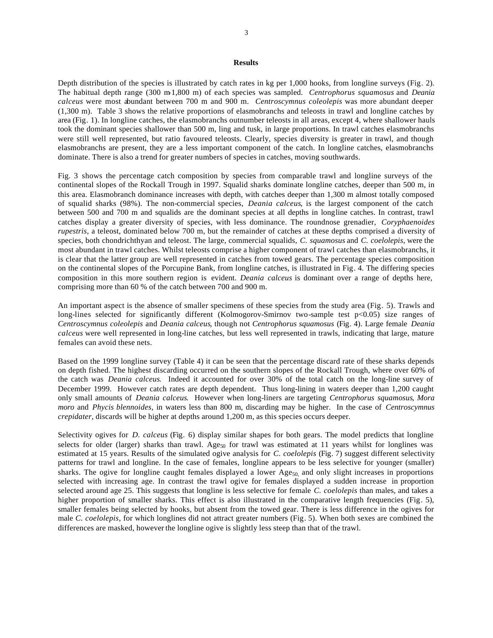## **Results**

Depth distribution of the species is illustrated by catch rates in kg per 1,000 hooks, from longline surveys (Fig. 2). The habitual depth range (300 m-1,800 m) of each species was sampled. *Centrophorus squamosus* and *Deania calceus* were most abundant between 700 m and 900 m. *Centroscymnus coleolepis* was more abundant deeper (1,300 m). Table 3 shows the relative proportions of elasmobranchs and teleosts in trawl and longline catches by area (Fig. 1). In longline catches, the elasmobranchs outnumber teleosts in all areas, except 4, where shallower hauls took the dominant species shallower than 500 m, ling and tusk, in large proportions. In trawl catches elasmobranchs were still well represented, but ratio favoured teleosts. Clearly, species diversity is greater in trawl, and though elasmobranchs are present, they are a less important component of the catch. In longline catches, elasmobranchs dominate. There is also a trend for greater numbers of species in catches, moving southwards.

Fig. 3 shows the percentage catch composition by species from comparable trawl and longline surveys of the continental slopes of the Rockall Trough in 1997. Squalid sharks dominate longline catches, deeper than 500 m, in this area. Elasmobranch dominance increases with depth, with catches deeper than 1,300 m almost totally composed of squalid sharks (98%). The non-commercial species, *Deania calceus*, is the largest component of the catch between 500 and 700 m and squalids are the dominant species at all depths in longline catches. In contrast, trawl catches display a greater diversity of species, with less dominance. The roundnose grenadier, *Coryphaenoides rupestris*, a teleost, dominated below 700 m, but the remainder of catches at these depths comprised a diversity of species, both chondrichthyan and teleost. The large, commercial squalids, *C. squamosus* and *C. coelolepis*, were the most abundant in trawl catches. Whilst teleosts comprise a higher component of trawl catches than elasmobranchs, it is clear that the latter group are well represented in catches from towed gears. The percentage species composition on the continental slopes of the Porcupine Bank, from longline catches, is illustrated in Fig. 4. The differing species composition in this more southern region is evident. *Deania calceus* is dominant over a range of depths here, comprising more than 60 % of the catch between 700 and 900 m.

An important aspect is the absence of smaller specimens of these species from the study area (Fig. 5). Trawls and long-lines selected for significantly different (Kolmogorov-Smirnov two-sample test  $p<0.05$ ) size ranges of *Centroscymnus coleolepis* and *Deania calceus*, though not *Centrophorus squamosus* (Fig. 4). Large female *Deania calceus* were well represented in long-line catches, but less well represented in trawls, indicating that large, mature females can avoid these nets.

Based on the 1999 longline survey (Table 4) it can be seen that the percentage discard rate of these sharks depends on depth fished. The highest discarding occurred on the southern slopes of the Rockall Trough, where over 60% of the catch was *Deania calceus*. Indeed it accounted for over 30% of the total catch on the long-line survey of December 1999. However catch rates are depth dependent. Thus long-lining in waters deeper than 1,200 caught only small amounts of *Deania calceus*. However when long-liners are targeting *Centrophorus squamosus*, *Mora moro* and *Phycis blennoides*, in waters less than 800 m, discarding may be higher. In the case of *Centroscymnus crepidater*, discards will be higher at depths around 1,200 m, as this species occurs deeper.

Selectivity ogives for *D. calceus* (Fig. 6) display similar shapes for both gears. The model predicts that longline selects for older (larger) sharks than trawl. Age<sub>50</sub> for trawl was estimated at 11 years whilst for longlines was estimated at 15 years. Results of the simulated ogive analysis for *C. coelolepis* (Fig. 7) suggest different selectivity patterns for trawl and longline. In the case of females, longline appears to be less selective for younger (smaller) sharks. The ogive for longline caught females displayed a lower  $Age_{50}$  and only slight increases in proportions selected with increasing age. In contrast the trawl ogive for females displayed a sudden increase in proportion selected around age 25. This suggests that longline is less selective for female *C. coelolepis* than males, and takes a higher proportion of smaller sharks. This effect is also illustrated in the comparative length frequencies (Fig. 5), smaller females being selected by hooks, but absent from the towed gear. There is less difference in the ogives for male *C. coelolepis*, for which longlines did not attract greater numbers (Fig. 5). When both sexes are combined the differences are masked, however the longline ogive is slightly less steep than that of the trawl.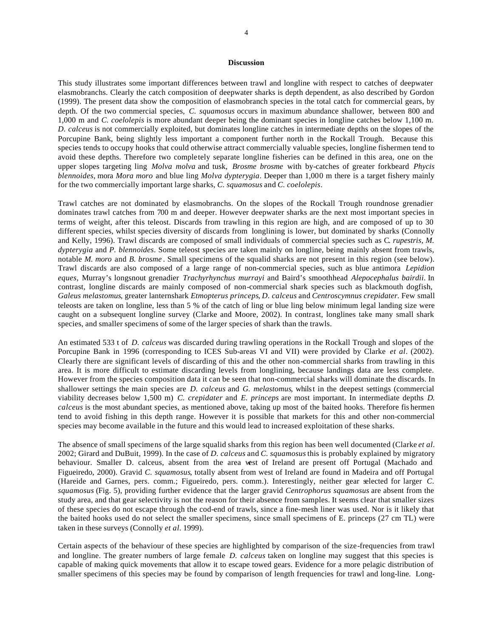#### **Discussion**

This study illustrates some important differences between trawl and longline with respect to catches of deepwater elasmobranchs. Clearly the catch composition of deepwater sharks is depth dependent, as also described by Gordon (1999). The present data show the composition of elasmobranch species in the total catch for commercial gears, by depth. Of the two commercial species, *C. squamosus* occurs in maximum abundance shallower, between 800 and 1,000 m and *C. coelolepis* is more abundant deeper being the dominant species in longline catches below 1,100 m. *D. calceus* is not commercially exploited, but dominates longline catches in intermediate depths on the slopes of the Porcupine Bank, being slightly less important a component further north in the Rockall Trough. Because this species tends to occupy hooks that could otherwise attract commercially valuable species, longline fishermen tend to avoid these depths. Therefore two completely separate longline fisheries can be defined in this area, one on the upper slopes targeting ling *Molva molva* and tusk, *Brosme brosme* with by-catches of greater forkbeard *Phycis blennoides*, mora *Mora moro* and blue ling *Molva dypterygia*. Deeper than 1,000 m there is a target fishery mainly for the two commercially important large sharks, *C. squamosus* and *C. coelolepis*.

Trawl catches are not dominated by elasmobranchs. On the slopes of the Rockall Trough roundnose grenadier dominates trawl catches from 700 m and deeper. However deepwater sharks are the next most important species in terms of weight, after this teleost. Discards from trawling in this region are high, and are composed of up to 30 different species, whilst species diversity of discards from longlining is lower, but dominated by sharks (Connolly and Kelly, 1996). Trawl discards are composed of small individuals of commercial species such as C*. rupestris, M. dypterygia* and *P. blennoides*. Some teleost species are taken mainly on longline, being mainly absent from trawls, notable *M. moro* and *B. brosme* . Small specimens of the squalid sharks are not present in this region (see below). Trawl discards are also composed of a large range of non-commercial species, such as blue antimora *Lepidion eques*, Murray's longsnout grenadier *Trachyrhynchus murrayi* and Baird's smoothhead *Alepocephalus bairdii*. In contrast, longline discards are mainly composed of non-commercial shark species such as blackmouth dogfish, *Galeus melastomus*, greater lanternshark *Etmopterus princeps*, *D. calceus* and *Centroscymnus crepidater.* Few small teleosts are taken on longline, less than 5 % of the catch of ling or blue ling below minimum legal landing size were caught on a subsequent longline survey (Clarke and Moore, 2002). In contrast, longlines take many small shark species, and smaller specimens of some of the larger species of shark than the trawls.

An estimated 533 t of *D. calceus* was discarded during trawling operations in the Rockall Trough and slopes of the Porcupine Bank in 1996 (corresponding to ICES Sub-areas VI and VII) were provided by Clarke *et al*. (2002). Clearly there are significant levels of discarding of this and the other non-commercial sharks from trawling in this area. It is more difficult to estimate discarding levels from longlining, because landings data are less complete. However from the species composition data it can be seen that non-commercial sharks will dominate the discards. In shallower settings the main species are *D. calceus* and *G. melastomus*, whilst in the deepest settings (commercial viability decreases below 1,500 m) *C. crepidater* and *E. princeps* are most important. In intermediate depths *D. calceus* is the most abundant species, as mentioned above, taking up most of the baited hooks. Therefore fis hermen tend to avoid fishing in this depth range. However it is possible that markets for this and other non-commercial species may become available in the future and this would lead to increased exploitation of these sharks.

The absence of small specimens of the large squalid sharks from this region has been well documented (Clarke *et al.* 2002; Girard and DuBuit, 1999). In the case of *D. calceus* and *C. squamosus* this is probably explained by migratory behaviour. Smaller D. calceus, absent from the area west of Ireland are present off Portugal (Machado and Figueiredo, 2000). Gravid *C. squamosus*, totally absent from west of Ireland are found in Madeira and off Portugal (Hareide and Garnes, pers. comm.; Figueiredo, pers. comm.). Interestingly, neither gear selected for larger *C. squamosus* (Fig. 5), providing further evidence that the larger gravid *Centrophorus squamosus* are absent from the study area, and that gear selectivity is not the reason for their absence from samples. It seems clear that smaller sizes of these species do not escape through the cod-end of trawls, since a fine-mesh liner was used. Nor is it likely that the baited hooks used do not select the smaller specimens, since small specimens of E. princeps (27 cm TL) were taken in these surveys (Connolly *et al.* 1999).

Certain aspects of the behaviour of these species are highlighted by comparison of the size-frequencies from trawl and longline. The greater numbers of large female *D. calceus* taken on longline may suggest that this species is capable of making quick movements that allow it to escape towed gears. Evidence for a more pelagic distribution of smaller specimens of this species may be found by comparison of length frequencies for trawl and long-line. Long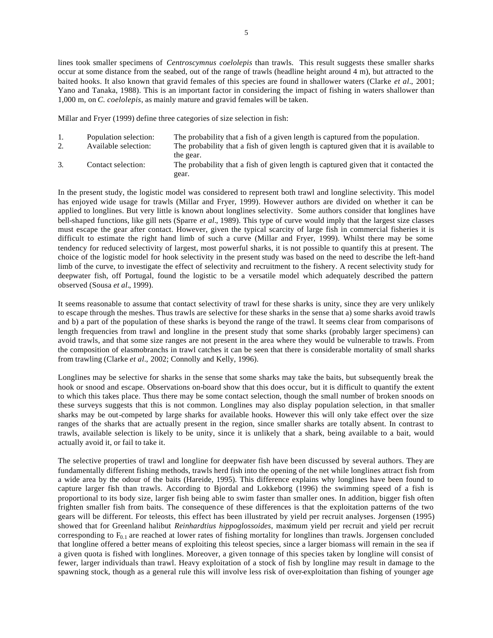lines took smaller specimens of *Centroscymnus coelolepis* than trawls. This result suggests these smaller sharks occur at some distance from the seabed, out of the range of trawls (headline height around 4 m), but attracted to the baited hooks. It also known that gravid females of this species are found in shallower waters (Clarke *et al.*, 2001; Yano and Tanaka, 1988). This is an important factor in considering the impact of fishing in waters shallower than 1,000 m, on *C. coelolepis*, as mainly mature and gravid females will be taken.

Millar and Fryer (1999) define three categories of size selection in fish:

| 1. | Population selection:<br>Available selection: | The probability that a fish of a given length is captured from the population.<br>The probability that a fish of given length is captured given that it is available to<br>the gear. |
|----|-----------------------------------------------|--------------------------------------------------------------------------------------------------------------------------------------------------------------------------------------|
|    | Contact selection:                            | The probability that a fish of given length is captured given that it contacted the<br>gear.                                                                                         |

In the present study, the logistic model was considered to represent both trawl and longline selectivity. This model has enjoyed wide usage for trawls (Millar and Fryer, 1999). However authors are divided on whether it can be applied to longlines. But very little is known about longlines selectivity. Some authors consider that longlines have bell-shaped functions, like gill nets (Sparre *et al.*, 1989). This type of curve would imply that the largest size classes must escape the gear after contact. However, given the typical scarcity of large fish in commercial fisheries it is difficult to estimate the right hand limb of such a curve (Millar and Fryer, 1999). Whilst there may be some tendency for reduced selectivity of largest, most powerful sharks, it is not possible to quantify this at present. The choice of the logistic model for hook selectivity in the present study was based on the need to describe the left-hand limb of the curve, to investigate the effect of selectivity and recruitment to the fishery. A recent selectivity study for deepwater fish, off Portugal, found the logistic to be a versatile model which adequately described the pattern observed (Sousa *et al.*, 1999).

It seems reasonable to assume that contact selectivity of trawl for these sharks is unity, since they are very unlikely to escape through the meshes. Thus trawls are selective for these sharks in the sense that a) some sharks avoid trawls and b) a part of the population of these sharks is beyond the range of the trawl. It seems clear from comparisons of length frequencies from trawl and longline in the present study that some sharks (probably larger specimens) can avoid trawls, and that some size ranges are not present in the area where they would be vulnerable to trawls. From the composition of elasmobranchs in trawl catches it can be seen that there is considerable mortality of small sharks from trawling (Clarke *et al.,* 2002; Connolly and Kelly, 1996).

Longlines may be selective for sharks in the sense that some sharks may take the baits, but subsequently break the hook or snood and escape. Observations on-board show that this does occur, but it is difficult to quantify the extent to which this takes place. Thus there may be some contact selection, though the small number of broken snoods on these surveys suggests that this is not common. Longlines may also display population selection, in that smaller sharks may be out-competed by large sharks for available hooks. However this will only take effect over the size ranges of the sharks that are actually present in the region, since smaller sharks are totally absent. In contrast to trawls, available selection is likely to be unity, since it is unlikely that a shark, being available to a bait, would actually avoid it, or fail to take it.

The selective properties of trawl and longline for deepwater fish have been discussed by several authors. They are fundamentally different fishing methods, trawls herd fish into the opening of the net while longlines attract fish from a wide area by the odour of the baits (Hareide, 1995). This difference explains why longlines have been found to capture larger fish than trawls. According to Bjordal and Lokkeborg (1996) the swimming speed of a fish is proportional to its body size, larger fish being able to swim faster than smaller ones. In addition, bigger fish often frighten smaller fish from baits. The consequence of these differences is that the exploitation patterns of the two gears will be different. For teleosts, this effect has been illustrated by yield per recruit analyses. Jorgensen (1995) showed that for Greenland halibut *Reinhardtius hippoglossoides*, maximum yield per recruit and yield per recruit corresponding to  $F_{0,1}$  are reached at lower rates of fishing mortality for longlines than trawls. Jorgensen concluded that longline offered a better means of exploiting this teleost species, since a larger biomass will remain in the sea if a given quota is fished with longlines. Moreover, a given tonnage of this species taken by longline will consist of fewer, larger individuals than trawl. Heavy exploitation of a stock of fish by longline may result in damage to the spawning stock, though as a general rule this will involve less risk of over-exploitation than fishing of younger age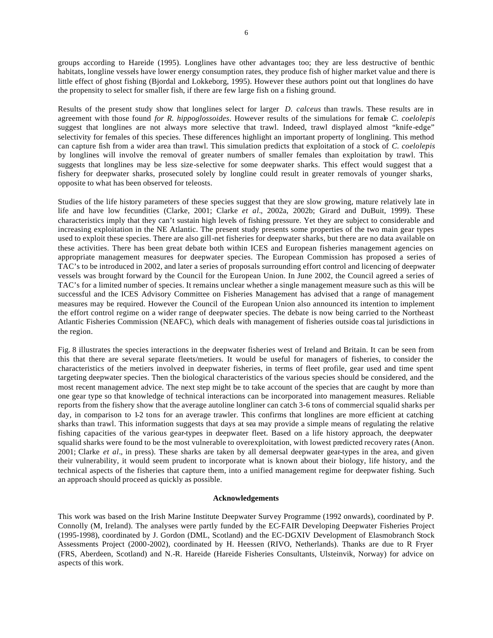groups according to Hareide (1995). Longlines have other advantages too; they are less destructive of benthic habitats, longline vessels have lower energy consumption rates, they produce fish of higher market value and there is little effect of ghost fishing (Bjordal and Lokkeborg, 1995). However these authors point out that longlines do have the propensity to select for smaller fish, if there are few large fish on a fishing ground.

Results of the present study show that longlines select for larger *D. calceus* than trawls. These results are in agreement with those found *for R. hippoglossoides*. However results of the simulations for female *C. coelolepis* suggest that longlines are not always more selective that trawl. Indeed, trawl displayed almost "knife-edge" selectivity for females of this species. These differences highlight an important property of longlining. This method can capture fish from a wider area than trawl. This simulation predicts that exploitation of a stock of *C. coelolepis* by longlines will involve the removal of greater numbers of smaller females than exploitation by trawl. This suggests that longlines may be less size-selective for some deepwater sharks. This effect would suggest that a fishery for deepwater sharks, prosecuted solely by longline could result in greater removals of younger sharks, opposite to what has been observed for teleosts.

Studies of the life history parameters of these species suggest that they are slow growing, mature relatively late in life and have low fecundities (Clarke, 2001; Clarke *et al.,* 2002a, 2002b; Girard and DuBuit, 1999). These characteristics imply that they can't sustain high levels of fishing pressure. Yet they are subject to considerable and increasing exploitation in the NE Atlantic. The present study presents some properties of the two main gear types used to exploit these species. There are also gill-net fisheries for deepwater sharks, but there are no data available on these activities. There has been great debate both within ICES and European fisheries management agencies on appropriate management measures for deepwater species. The European Commission has proposed a series of TAC's to be introduced in 2002, and later a series of proposals surrounding effort control and licencing of deepwater vessels was brought forward by the Council for the European Union. In June 2002, the Council agreed a series of TAC's for a limited number of species. It remains unclear whether a single management measure such as this will be successful and the ICES Advisory Committee on Fisheries Management has advised that a range of management measures may be required. However the Council of the European Union also announced its intention to implement the effort control regime on a wider range of deepwater species. The debate is now being carried to the Northeast Atlantic Fisheries Commission (NEAFC), which deals with management of fisheries outside coastal jurisdictions in the region.

Fig. 8 illustrates the species interactions in the deepwater fisheries west of Ireland and Britain. It can be seen from this that there are several separate fleets/metiers. It would be useful for managers of fisheries, to consider the characteristics of the metiers involved in deepwater fisheries, in terms of fleet profile, gear used and time spent targeting deepwater species. Then the biological characteristics of the various species should be considered, and the most recent management advice. The next step might be to take account of the species that are caught by more than one gear type so that knowledge of technical interactions can be incorporated into management measures. Reliable reports from the fishery show that the average autoline longliner can catch 3-6 tons of commercial squalid sharks per day, in comparison to 1-2 tons for an average trawler. This confirms that longlines are more efficient at catching sharks than trawl. This information suggests that days at sea may provide a simple means of regulating the relative fishing capacities of the various gear-types in deepwater fleet. Based on a life history approach, the deepwater squalid sharks were found to be the most vulnerable to overexploitation, with lowest predicted recovery rates (Anon. 2001; Clarke *et al.,* in press). These sharks are taken by all demersal deepwater gear-types in the area, and given their vulnerability, it would seem prudent to incorporate what is known about their biology, life history, and the technical aspects of the fisheries that capture them, into a unified management regime for deepwater fishing. Such an approach should proceed as quickly as possible.

## **Acknowledgements**

This work was based on the Irish Marine Institute Deepwater Survey Programme (1992 onwards), coordinated by P. Connolly (M, Ireland). The analyses were partly funded by the EC-FAIR Developing Deepwater Fisheries Project (1995-1998), coordinated by J. Gordon (DML, Scotland) and the EC-DGXIV Development of Elasmobranch Stock Assessments Project (2000-2002), coordinated by H. Heessen (RIVO, Netherlands). Thanks are due to R Fryer (FRS, Aberdeen, Scotland) and N.-R. Hareide (Hareide Fisheries Consultants, Ulsteinvik, Norway) for advice on aspects of this work.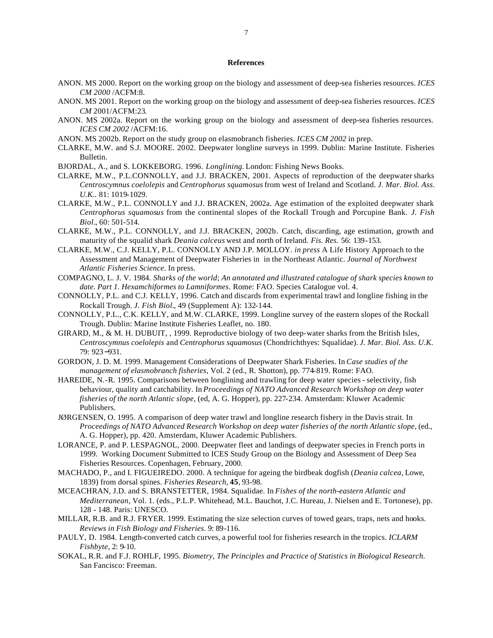### **References**

- ANON. MS 2000. Report on the working group on the biology and assessment of deep-sea fisheries resources. *ICES CM 2000* /ACFM:8.
- ANON. MS 2001. Report on the working group on the biology and assessment of deep-sea fisheries resources. *ICES CM* 2001/ACFM:23.
- ANON. MS 2002a. Report on the working group on the biology and assessment of deep-sea fisheries resources. *ICES CM 2002* /ACFM:16.
- ANON. MS 2002b. Report on the study group on elasmobranch fisheries. *ICES CM 2002* in prep.
- CLARKE, M.W. and S.J. MOORE. 2002. Deepwater longline surveys in 1999. Dublin: Marine Institute. Fisheries Bulletin.
- BJORDAL, A., and S. LOKKEBORG. 1996. *Longlining.* London: Fishing News Books.
- CLARKE, M.W., P.L.CONNOLLY, and J.J. BRACKEN, 2001. Aspects of reproduction of the deepwater sharks *Centroscymnus coelolepis* and *Centrophorus squamosus* from west of Ireland and Scotland. *J. Mar. Biol. Ass. U.K..* 81: 1019-1029.
- CLARKE, M.W., P.L. CONNOLLY and J.J. BRACKEN, 2002a. Age estimation of the exploited deepwater shark *Centrophorus squamosus* from the continental slopes of the Rockall Trough and Porcupine Bank. *J. Fish Biol.*, 60: 501-514.
- CLARKE, M.W., P.L. CONNOLLY, and J.J. BRACKEN, 2002b*.* Catch, discarding, age estimation, growth and maturity of the squalid shark *Deania calceus* west and north of Ireland. *Fis. Res.* 56: 139-153.
- CLARKE, M.W., C.J. KELLY, P.L. CONNOLLY AND J.P. MOLLOY. *in press* A Life History Approach to the Assessment and Management of Deepwater Fisheries in in the Northeast Atlantic. *Journal of Northwest Atlantic Fisheries Science*. In press.
- COMPAGNO, L. J. V. 1984. *Sharks of the world*; *An annotated and illustrated catalogue of shark species known to date. Part 1. Hexamchiformes to Lamniformes*. Rome: FAO. Species Catalogue vol. 4.
- CONNOLLY, P.L. and C.J. KELLY, 1996. Catch and discards from experimental trawl and longline fishing in the Rockall Trough. *J. Fish Biol.*, 49 (Supplement A): 132-144.
- CONNOLLY, P.L., C.K. KELLY, and M.W. CLARKE, 1999. Longline survey of the eastern slopes of the Rockall Trough. Dublin: Marine Institute Fisheries Leaflet, no. 180.
- GIRARD, M., & M. H. DUBUIT, , 1999. Reproductive biology of two deep-water sharks from the British Isles, *Centroscymnus coelolepis* and *Centrophorus squamosus* (Chondrichthyes: Squalidae). *J. Mar. Biol. Ass. U.K.* 79: 923−931.
- GORDON, J. D. M. 1999. Management Considerations of Deepwater Shark Fisheries. In *Case studies of the management of elasmobranch fisheries*, Vol. 2 (ed., R. Shotton), pp. 774-819. Rome: FAO.
- HAREIDE, N.-R. 1995. Comparisons between longlining and trawling for deep water species selectivity, fish behaviour, quality and catchability. In *Proceedings of NATO Advanced Research Workshop on deep water fisheries of the north Atlantic slope*, (ed, A. G. Hopper), pp. 227-234. Amsterdam: Kluwer Academic Publishers.
- JØRGENSEN, O. 1995. A comparison of deep water trawl and longline research fishery in the Davis strait. In *Proceedings of NATO Advanced Research Workshop on deep water fisheries of the north Atlantic slope*, (ed., A. G. Hopper), pp. 420. Amsterdam, Kluwer Academic Publishers.
- LORANCE, P. and P. LESPAGNOL, 2000. Deepwater fleet and landings of deepwater species in French ports in 1999. Working Document Submitted to ICES Study Group on the Biology and Assessment of Deep Sea Fisheries Resources. Copenhagen, February, 2000.
- MACHADO, P., and I. FIGUEIREDO. 2000. A technique for ageing the birdbeak dogfish (*Deania calcea*, Lowe, 1839) from dorsal spines. *Fisheries Research*, **45**, 93-98.
- MCEACHRAN, J.D. and S. BRANSTETTER, 1984. Squalidae. In *Fishes of the north-eastern Atlantic and Mediterranean*, Vol. 1. (eds., P.L.P. Whitehead, M.L. Bauchot, J.C. Hureau, J. Nielsen and E. Tortonese), pp. 128 - 148. Paris: UNESCO.
- MILLAR, R.B. and R.J. FRYER. 1999. Estimating the size selection curves of towed gears, traps, nets and hooks. *Reviews in Fish Biology and Fisheries*. 9: 89-116.
- PAULY, D. 1984. Length-converted catch curves, a powerful tool for fisheries research in the tropics. *ICLARM Fishbyte*, 2: 9-10.
- SOKAL, R.R. and F.J. ROHLF, 1995. *Biometry, The Principles and Practice of Statistics in Biological Research*. San Fancisco: Freeman.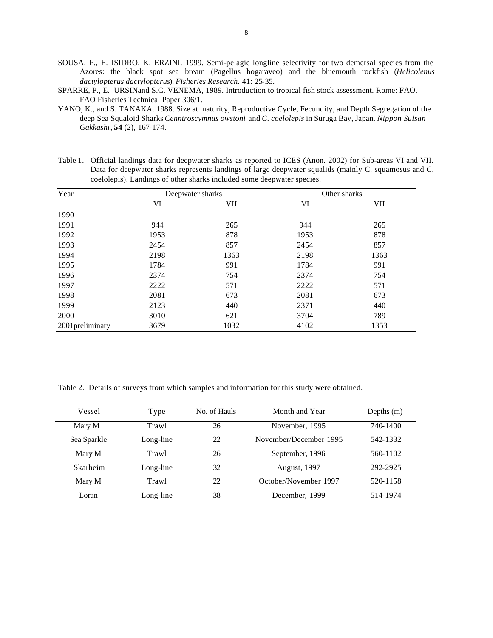- SOUSA, F., E. ISIDRO, K. ERZINI. 1999. Semi-pelagic longline selectivity for two demersal species from the Azores: the black spot sea bream (Pagellus bogaraveo) and the bluemouth rockfish (*Helicolenus dactylopterus dactylopterus*). *Fisheries Research*. 41: 25-35.
- SPARRE, P., E. URSINand S.C. VENEMA, 1989. Introduction to tropical fish stock assessment. Rome: FAO. FAO Fisheries Technical Paper 306/1.
- YANO, K., and S. TANAKA. 1988. Size at maturity, Reproductive Cycle, Fecundity, and Depth Segregation of the deep Sea Squaloid Sharks *Cenntroscymnus owstoni* and *C. coelolepis* in Suruga Bay, Japan. *Nippon Suisan Gakkashi*, **54** (2), 167-174.

Table 1. Official landings data for deepwater sharks as reported to ICES (Anon. 2002) for Sub-areas VI and VII. Data for deepwater sharks represents landings of large deepwater squalids (mainly C. squamosus and C. coelolepis). Landings of other sharks included some deepwater species.

| Year            |      | Deepwater sharks | Other sharks |            |  |
|-----------------|------|------------------|--------------|------------|--|
|                 | VI   | VII              | VI           | <b>VII</b> |  |
| 1990            |      |                  |              |            |  |
| 1991            | 944  | 265              | 944          | 265        |  |
| 1992            | 1953 | 878              | 1953         | 878        |  |
| 1993            | 2454 | 857              | 2454         | 857        |  |
| 1994            | 2198 | 1363             | 2198         | 1363       |  |
| 1995            | 1784 | 991              | 1784         | 991        |  |
| 1996            | 2374 | 754              | 2374         | 754        |  |
| 1997            | 2222 | 571              | 2222         | 571        |  |
| 1998            | 2081 | 673              | 2081         | 673        |  |
| 1999            | 2123 | 440              | 2371         | 440        |  |
| 2000            | 3010 | 621              | 3704         | 789        |  |
| 2001preliminary | 3679 | 1032             | 4102         | 1353       |  |

Table 2. Details of surveys from which samples and information for this study were obtained.

| Vessel<br>Type  |           | No. of Hauls | Month and Year         | Depths $(m)$ |
|-----------------|-----------|--------------|------------------------|--------------|
| Mary M          | Trawl     | 26           | November, 1995         | 740-1400     |
| Sea Sparkle     | Long-line | 22           | November/December 1995 | 542-1332     |
| Mary M          | Trawl     | 26           | September, 1996        | 560-1102     |
| <b>Skarheim</b> | Long-line | 32           | <b>August, 1997</b>    | 292-2925     |
| Mary M          | Trawl     | 22           | October/November 1997  | 520-1158     |
| Loran           | Long-line | 38           | December, 1999         | 514-1974     |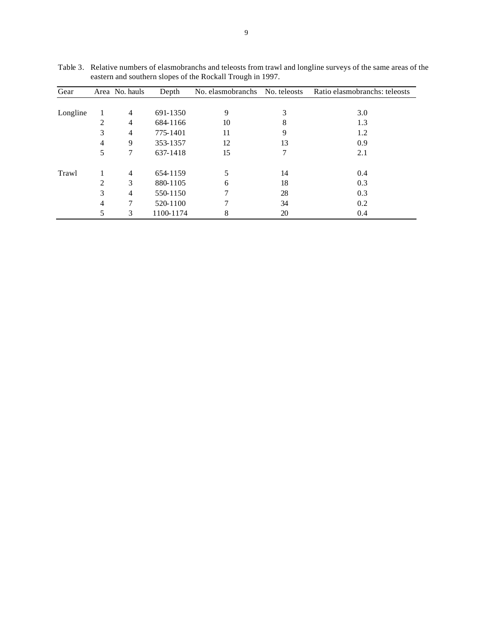| Gear     |   | Area No. hauls | Depth     | No. elasmobranchs | No. teleosts | Ratio elasmobranchs: teleosts |
|----------|---|----------------|-----------|-------------------|--------------|-------------------------------|
|          |   |                |           |                   |              |                               |
| Longline |   | $\overline{4}$ | 691-1350  | 9                 | 3            | 3.0                           |
|          | 2 | $\overline{4}$ | 684-1166  | 10                | 8            | 1.3                           |
|          | 3 | $\overline{4}$ | 775-1401  | 11                | 9            | 1.2                           |
|          | 4 | 9              | 353-1357  | 12                | 13           | 0.9                           |
|          | 5 | 7              | 637-1418  | 15                |              | 2.1                           |
| Trawl    |   | $\overline{4}$ | 654-1159  |                   | 14           | 0.4                           |
|          | 2 | 3              | 880-1105  | 6                 | 18           | 0.3                           |
|          | 3 | $\overline{4}$ | 550-1150  |                   | 28           | 0.3                           |
|          | 4 | 7              | 520-1100  |                   | 34           | 0.2                           |
|          | 5 | 3              | 1100-1174 | 8                 | 20           | 0.4                           |

Table 3. Relative numbers of elasmobranchs and teleosts from trawl and longline surveys of the same areas of the eastern and southern slopes of the Rockall Trough in 1997.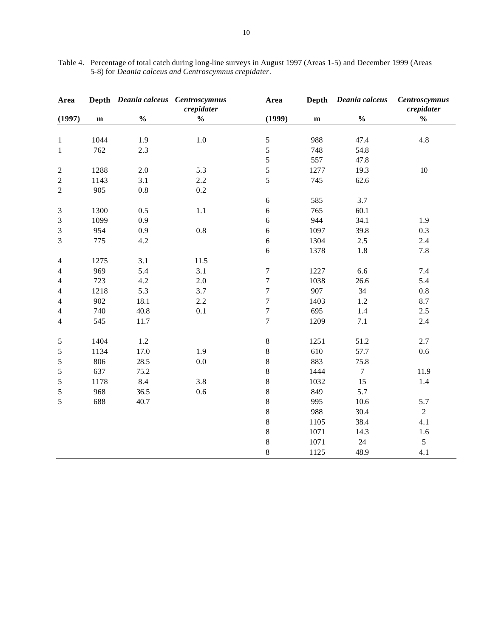| Area           |              | Depth Deania calceus | <b>Centroscymnus</b>        | Area             | <b>Depth</b> | Deania calceus                     | <b>Centroscymnus</b>        |
|----------------|--------------|----------------------|-----------------------------|------------------|--------------|------------------------------------|-----------------------------|
| (1997)         | $\mathbf{m}$ | $\frac{0}{0}$        | crepidater<br>$\frac{0}{0}$ | (1999)           | ${\bf m}$    | $\mathbf{0}_{\mathbf{0}}^{\prime}$ | crepidater<br>$\frac{0}{0}$ |
|                |              |                      |                             |                  |              |                                    |                             |
| $\mathbf{1}$   | 1044         | 1.9                  | $1.0\,$                     | $\mathfrak s$    | 988          | 47.4                               | 4.8                         |
| $\,1$          | 762          | 2.3                  |                             | 5                | 748          | 54.8                               |                             |
|                |              |                      |                             | 5                | 557          | 47.8                               |                             |
| $\overline{c}$ | 1288         | $2.0\,$              | 5.3                         | 5                | 1277         | 19.3                               | $10\,$                      |
| $\overline{c}$ | 1143         | 3.1                  | 2.2                         | 5                | 745          | 62.6                               |                             |
| $\overline{c}$ | 905          | $0.8\,$              | $0.2\,$                     |                  |              |                                    |                             |
|                |              |                      |                             | $\sqrt{6}$       | 585          | 3.7                                |                             |
| $\mathfrak{Z}$ | 1300         | 0.5                  | 1.1                         | 6                | 765          | 60.1                               |                             |
| 3              | 1099         | 0.9                  |                             | 6                | 944          | 34.1                               | 1.9                         |
| 3              | 954          | 0.9                  | $0.8\,$                     | $\sqrt{6}$       | 1097         | 39.8                               | 0.3                         |
| 3              | 775          | 4.2                  |                             | 6                | 1304         | 2.5                                | 2.4                         |
|                |              |                      |                             | 6                | 1378         | 1.8                                | 7.8                         |
| $\overline{4}$ | 1275         | 3.1                  | 11.5                        |                  |              |                                    |                             |
| 4              | 969          | 5.4                  | 3.1                         | $\boldsymbol{7}$ | 1227         | 6.6                                | $7.4\,$                     |
| 4              | 723          | 4.2                  | 2.0                         | $\boldsymbol{7}$ | 1038         | 26.6                               | 5.4                         |
| 4              | 1218         | 5.3                  | 3.7                         | $\boldsymbol{7}$ | 907          | 34                                 | 0.8                         |
| 4              | 902          | 18.1                 | 2.2                         | $\overline{7}$   | 1403         | 1.2                                | 8.7                         |
| 4              | 740          | 40.8                 | 0.1                         | $\boldsymbol{7}$ | 695          | 1.4                                | 2.5                         |
| 4              | 545          | 11.7                 |                             | $\overline{7}$   | 1209         | $7.1\,$                            | $2.4\,$                     |
|                |              |                      |                             |                  |              |                                    |                             |
| 5              | 1404         | $1.2\,$              |                             | $\,8\,$          | 1251         | 51.2                               | 2.7                         |
| 5              | 1134         | 17.0                 | 1.9                         | $8\,$            | 610          | 57.7                               | 0.6                         |
| 5              | 806          | 28.5                 | $0.0\,$                     | $\,8\,$          | 883          | 75.8                               |                             |
| 5              | 637          | 75.2                 |                             | $8\,$            | 1444         | $\tau$                             | 11.9                        |
| $\mathfrak s$  | 1178         | 8.4                  | 3.8                         | $\,8\,$          | 1032         | 15                                 | 1.4                         |
| $\sqrt{5}$     | 968          | 36.5                 | $0.6\,$                     | $\,8\,$          | 849          | 5.7                                |                             |
| 5              | 688          | 40.7                 |                             | $\,8\,$          | 995          | 10.6                               | 5.7                         |
|                |              |                      |                             | $8\,$            | 988          | 30.4                               | $\overline{2}$              |
|                |              |                      |                             | $\,8\,$          | 1105         | 38.4                               | 4.1                         |
|                |              |                      |                             | $\,8\,$          | 1071         | 14.3                               | 1.6                         |
|                |              |                      |                             | $\,8\,$          | 1071         | $24\,$                             | 5                           |
|                |              |                      |                             | 8                | 1125         | 48.9                               | 4.1                         |

Table 4. Percentage of total catch during long-line surveys in August 1997 (Areas 1-5) and December 1999 (Areas 5-8) for *Deania calceus and Centroscymnus crepidater*.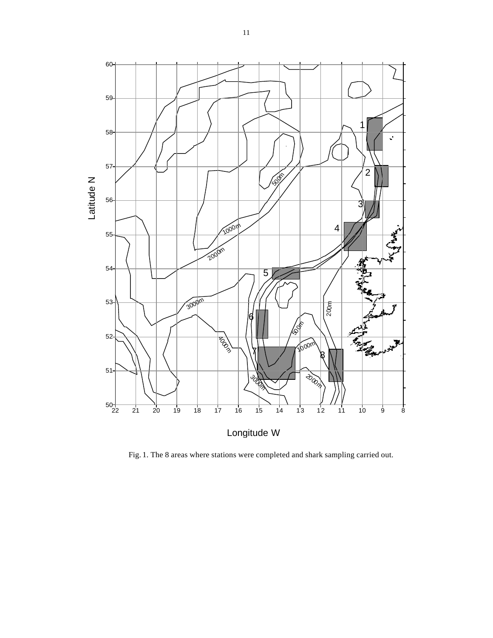

Fig. 1. The 8 areas where stations were completed and shark sampling carried out.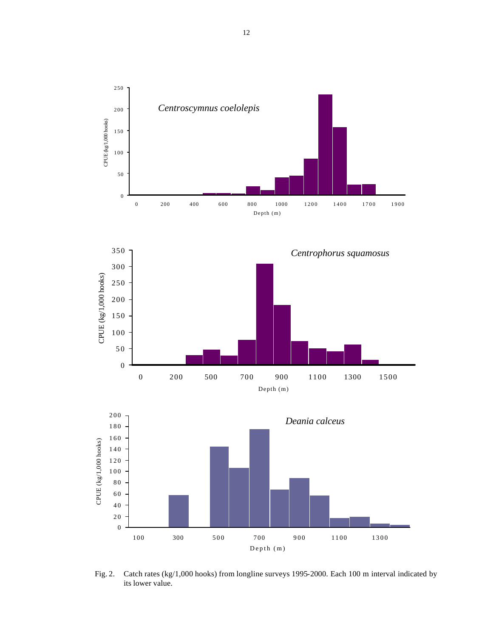





Fig. 2. Catch rates (kg/1,000 hooks) from longline surveys 1995-2000. Each 100 m interval indicated by its lower value.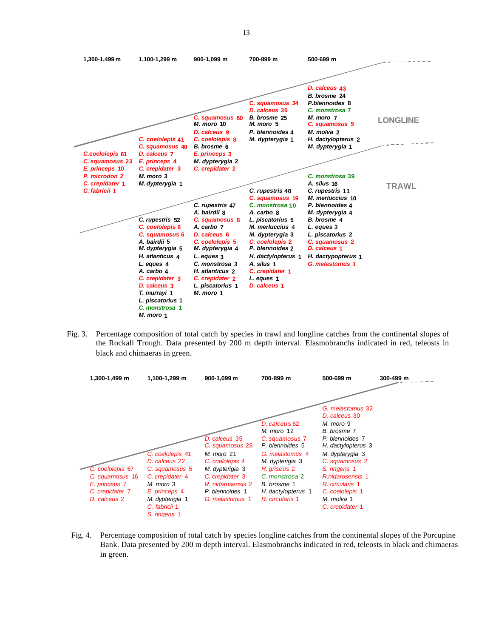

Fig. 3. Percentage composition of total catch by species in trawl and longline catches from the continental slopes of the Rockall Trough. Data presented by 200 m depth interval. Elasmobranchs indicated in red, teleosts in black and chimaeras in green.



Fig. 4. Percentage composition of total catch by species longline catches from the continental slopes of the Porcupine Bank. Data presented by 200 m depth interval. Elasmobranchs indicated in red, teleosts in black and chimaeras in green.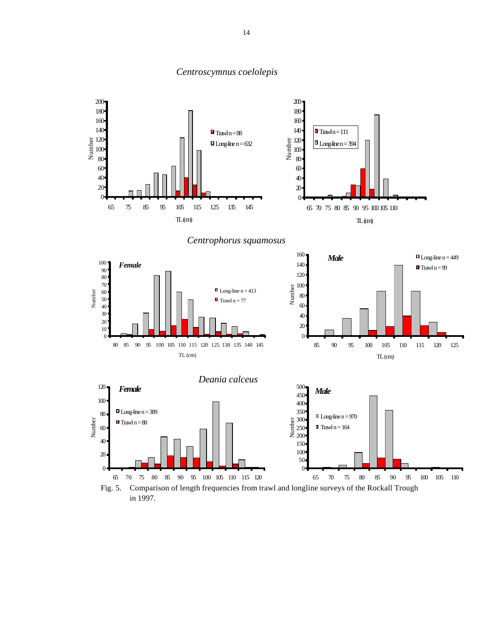

# *Centroscymnus coelolepis*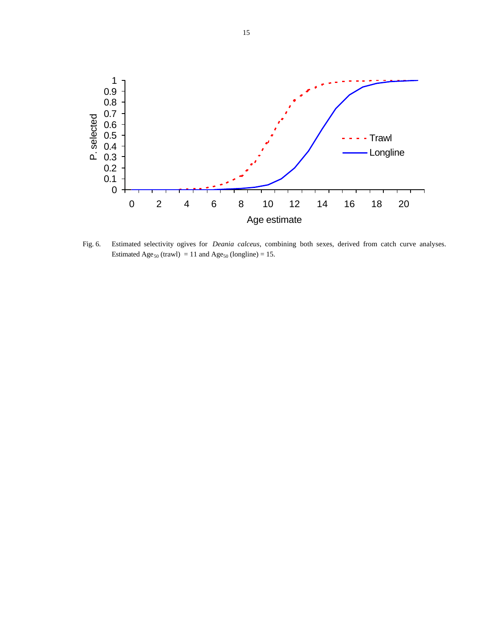

Fig. 6. Estimated selectivity ogives for *Deania calceus*, combining both sexes, derived from catch curve analyses. Estimated Age<sub>50</sub> (trawl) = 11 and Age<sub>50</sub> (longline) = 15.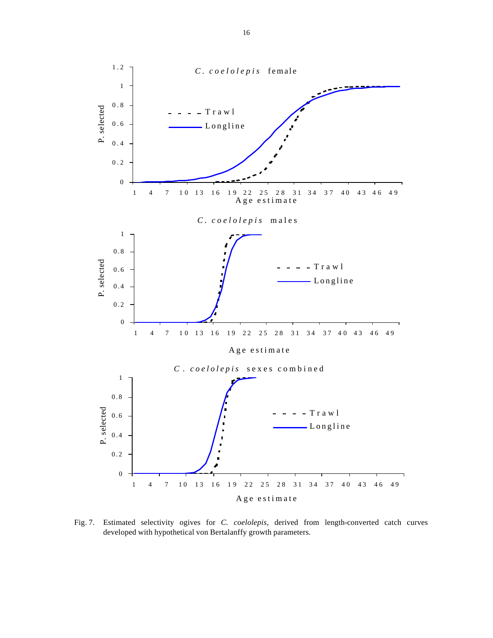

Fig. 7. Estimated selectivity ogives for *C. coelolepis*, derived from length-converted catch curves developed with hypothetical von Bertalanffy growth parameters.